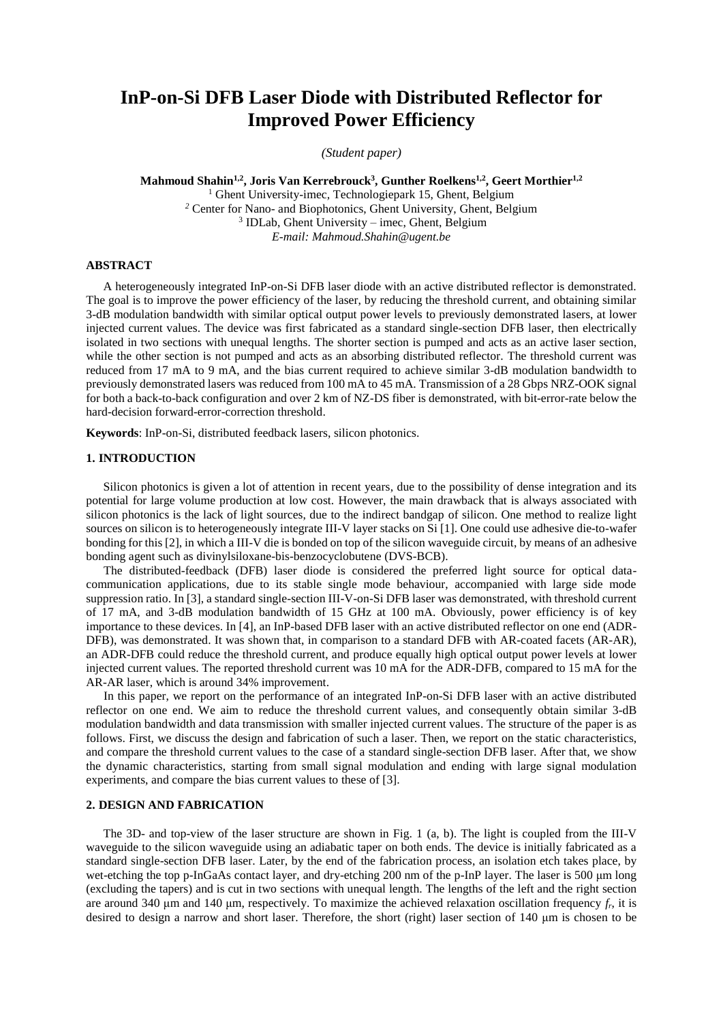# **InP-on-Si DFB Laser Diode with Distributed Reflector for Improved Power Efficiency**

*(Student paper)*

**Mahmoud Shahin1,2 , Joris Van Kerrebrouck<sup>3</sup> , Gunther Roelkens1,2 , Geert Morthier1,2** <sup>1</sup> Ghent University-imec, Technologiepark 15, Ghent, Belgium *<sup>2</sup>* Center for Nano- and Biophotonics, Ghent University, Ghent, Belgium 3 IDLab, Ghent University – imec, Ghent, Belgium *E-mail: Mahmoud.Shahin@ugent.be* 

#### **ABSTRACT**

A heterogeneously integrated InP-on-Si DFB laser diode with an active distributed reflector is demonstrated. The goal is to improve the power efficiency of the laser, by reducing the threshold current, and obtaining similar 3-dB modulation bandwidth with similar optical output power levels to previously demonstrated lasers, at lower injected current values. The device was first fabricated as a standard single-section DFB laser, then electrically isolated in two sections with unequal lengths. The shorter section is pumped and acts as an active laser section, while the other section is not pumped and acts as an absorbing distributed reflector. The threshold current was reduced from 17 mA to 9 mA, and the bias current required to achieve similar 3-dB modulation bandwidth to previously demonstrated lasers was reduced from 100 mA to 45 mA. Transmission of a 28 Gbps NRZ-OOK signal for both a back-to-back configuration and over 2 km of NZ-DS fiber is demonstrated, with bit-error-rate below the hard-decision forward-error-correction threshold.

**Keywords**: InP-on-Si, distributed feedback lasers, silicon photonics.

# **1. INTRODUCTION**

Silicon photonics is given a lot of attention in recent years, due to the possibility of dense integration and its potential for large volume production at low cost. However, the main drawback that is always associated with silicon photonics is the lack of light sources, due to the indirect bandgap of silicon. One method to realize light sources on silicon is to heterogeneously integrate III-V layer stacks on Si [1]. One could use adhesive die-to-wafer bonding for this [2], in which a III-V die is bonded on top of the silicon waveguide circuit, by means of an adhesive bonding agent such as divinylsiloxane-bis-benzocyclobutene (DVS-BCB).

The distributed-feedback (DFB) laser diode is considered the preferred light source for optical datacommunication applications, due to its stable single mode behaviour, accompanied with large side mode suppression ratio. In [3], a standard single-section III-V-on-Si DFB laser was demonstrated, with threshold current of 17 mA, and 3-dB modulation bandwidth of 15 GHz at 100 mA. Obviously, power efficiency is of key importance to these devices. In [4], an InP-based DFB laser with an active distributed reflector on one end (ADR-DFB), was demonstrated. It was shown that, in comparison to a standard DFB with AR-coated facets (AR-AR), an ADR-DFB could reduce the threshold current, and produce equally high optical output power levels at lower injected current values. The reported threshold current was 10 mA for the ADR-DFB, compared to 15 mA for the AR-AR laser, which is around 34% improvement.

In this paper, we report on the performance of an integrated InP-on-Si DFB laser with an active distributed reflector on one end. We aim to reduce the threshold current values, and consequently obtain similar 3-dB modulation bandwidth and data transmission with smaller injected current values. The structure of the paper is as follows. First, we discuss the design and fabrication of such a laser. Then, we report on the static characteristics, and compare the threshold current values to the case of a standard single-section DFB laser. After that, we show the dynamic characteristics, starting from small signal modulation and ending with large signal modulation experiments, and compare the bias current values to these of [3].

# **2. DESIGN AND FABRICATION**

The 3D- and top-view of the laser structure are shown in Fig. 1 (a, b). The light is coupled from the III-V waveguide to the silicon waveguide using an adiabatic taper on both ends. The device is initially fabricated as a standard single-section DFB laser. Later, by the end of the fabrication process, an isolation etch takes place, by wet-etching the top p-InGaAs contact layer, and dry-etching 200 nm of the p-InP layer. The laser is 500 μm long (excluding the tapers) and is cut in two sections with unequal length. The lengths of the left and the right section are around 340 μm and 140 μm, respectively. To maximize the achieved relaxation oscillation frequency *fr*, it is desired to design a narrow and short laser. Therefore, the short (right) laser section of 140 μm is chosen to be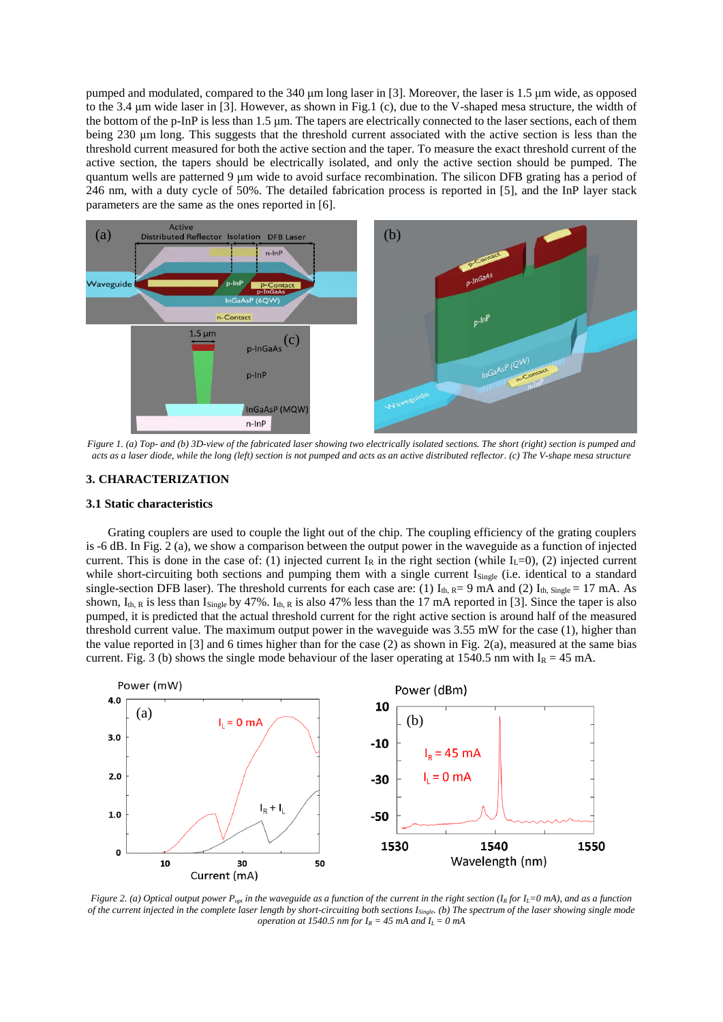pumped and modulated, compared to the 340 μm long laser in [3]. Moreover, the laser is 1.5 μm wide, as opposed to the 3.4 μm wide laser in [3]. However, as shown in Fig.1 (c), due to the V-shaped mesa structure, the width of the bottom of the p-InP is less than 1.5 μm. The tapers are electrically connected to the laser sections, each of them being 230 μm long. This suggests that the threshold current associated with the active section is less than the threshold current measured for both the active section and the taper. To measure the exact threshold current of the active section, the tapers should be electrically isolated, and only the active section should be pumped. The quantum wells are patterned 9 μm wide to avoid surface recombination. The silicon DFB grating has a period of 246 nm, with a duty cycle of 50%. The detailed fabrication process is reported in [5], and the InP layer stack parameters are the same as the ones reported in [6].



*Figure 1. (a) Top- and (b) 3D-view of the fabricated laser showing two electrically isolated sections. The short (right) section is pumped and acts as a laser diode, while the long (left) section is not pumped and acts as an active distributed reflector. (c) The V-shape mesa structure*

# **3. CHARACTERIZATION**

## **3.1 Static characteristics**

Grating couplers are used to couple the light out of the chip. The coupling efficiency of the grating couplers is -6 dB. In Fig. 2 (a), we show a comparison between the output power in the waveguide as a function of injected current. This is done in the case of: (1) injected current  $I_R$  in the right section (while  $I_L=0$ ), (2) injected current while short-circuiting both sections and pumping them with a single current I<sub>Single</sub> (i.e. identical to a standard single-section DFB laser). The threshold currents for each case are: (1)  $I_{th}$   $_{R}$  = 9 mA and (2)  $I_{th}$ ,  $_{\text{single}}$  = 17 mA. As shown,  $I_{th, R}$  is less than  $I_{Sinele}$  by 47%.  $I_{th, R}$  is also 47% less than the 17 mA reported in [3]. Since the taper is also pumped, it is predicted that the actual threshold current for the right active section is around half of the measured threshold current value. The maximum output power in the waveguide was 3.55 mW for the case (1), higher than the value reported in [3] and 6 times higher than for the case  $(2)$  as shown in Fig. 2(a), measured at the same bias current. Fig. 3 (b) shows the single mode behaviour of the laser operating at 1540.5 nm with  $I_R = 45$  mA.



*Figure 2. (a) Optical output power*  $P_{opt}$  *in the waveguide as a function of the current in the right section*  $(I_R$ *for*  $I_L=0$ *mA), and as a function of the current injected in the complete laser length by short-circuiting both sections ISingle. (b) The spectrum of the laser showing single mode operation at 1540.5 nm for*  $I_R = 45$  *mA and*  $I_L = 0$  *mA*